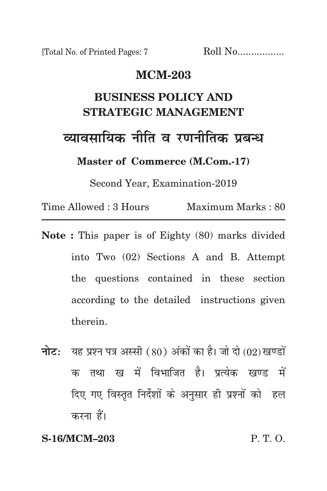[Total No. of Printed Pages: 7 Roll No.................

## **mcm-203**

# **business policy and strategic management** <u>व्यावसायिक नीति व रणनीतिक प्रबन्ध</u> **Master of Commerce (M.Com.-17)**

Second Year, Examination-2019

Time Allowed : 3 Hours Maximum Marks : 80

- **Note :** This paper is of Eighty (80) marks divided into Two (02) Sections A and B. Attempt the questions contained in these section according to the detailed instructions given therein.
- **नोट:** यह प्रश्न पत्र अस्सी (80) अंकों का है। जो दो (02) खण्डों क तथा ख में विभाजित है। प्रत्येक खण्ड में दिए गए विस्तृत निर्देशों के अनुसार ही प्रश्नों को हल करना हैं।

### **S-16/MCM–203** P. T. O.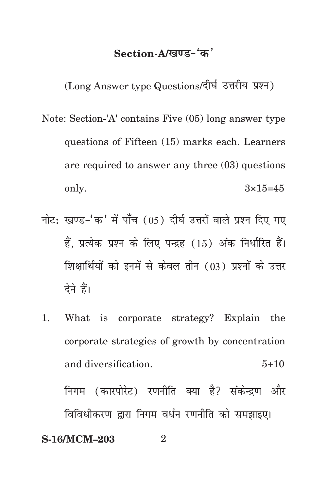## Section-A/**खण्ड-** 'क'

(Long Answer type Questions/दीर्घ उत्तरीय प्रश्न)

- Note: Section-'A' contains Five (05) long answer type questions of Fifteen (15) marks each. Learners are required to answer any three (03) questions only.  $3\times15=45$
- नोट: खण्ड-'क' में पाँच (05) दीर्घ उत्तरों वाले प्रश्न दिए गए हैं. प्रत्येक प्रश्न के लिए पन्द्रह (15) अंक निर्धारित हैं। शिक्षार्थियों को इनमें से केवल तीन (03) प्रश्नों के उत्तर देने हैं।
- 1. What is corporate strategy? Explain the corporate strategies of growth by concentration and diversification. 5+10

निगम (कारपोरेट) रणनीति क्या है? संकेन्द्रण और विविधीकरण द्वारा निगम वर्धन रणनीति को समझाइए।

## **S-16/MCM–203** 2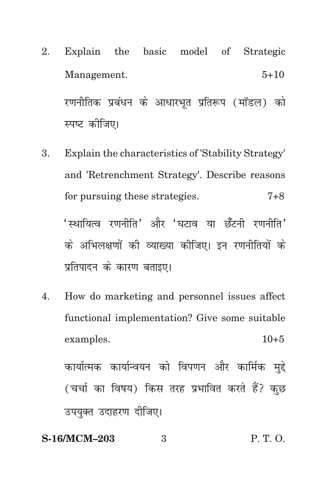- Explain the basic model of Strategic 2. Management.  $5 + 10$ रणनीतिक प्रबंधन के आधारभूत प्रतिरूप (मॉडल) को स्पष्ट कोजिए।
- Explain the characteristics of 'Stability Strategy' 3. and 'Retrenchment Strategy'. Describe reasons for pursuing these strategies.  $7 + 8$ 'स्थायित्व रणनीति' और 'घटाव या छँटनी रणनीति' के अभिलक्षणों की व्याख्या कीजिए। इन रणनीतियों के प्रतिपादन के कारण बताइए।
- How do marketing and personnel issues affect  $\overline{4}$ functional implementation? Give some suitable examples.  $10+5$ कार्यात्मक कार्यान्वयन को विपणन और कार्मिक मुद्दे (चर्चा का विषय) किस तरह प्रभावित करते हैं? कुछ

 $\mathcal{S}$ 

उपयुक्त उदाहरण दीजिए।

**S-16/MCM-203** 

 $P, T, O.$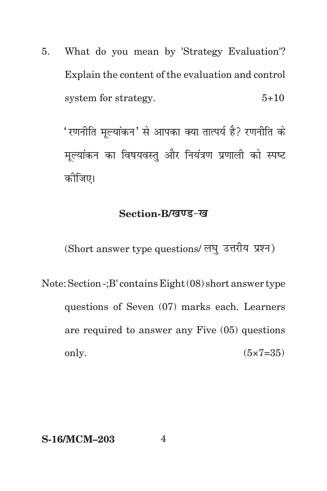5. What do you mean by 'Strategy Evaluation'? Explain the content of the evaluation and control system for strategy.  $5+10$ 

'रणनीति मूल्यांकन' से आपका क्या तात्पर्य है? रणनीति के मुल्यांकन का विषयवस्तु और नियंत्रण प्रणाली को स्पष्ट कोजिए।

## Section-B/*खण्ड-ख*

 $(Short answer type questions / 279$  उत्तरीय प्रश्न)

Note: Section -;B' contains Eight (08) short answer type questions of Seven (07) marks each. Learners are required to answer any Five (05) questions only.  $(5 \times 7 = 35)$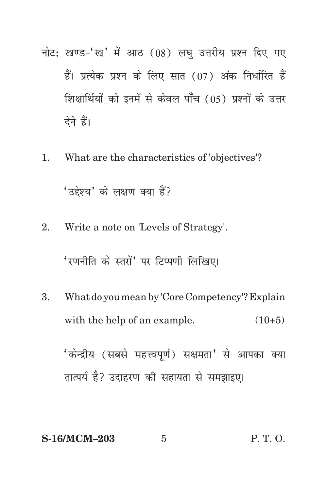- नोट: खण्ड-'ख' में आठ (08) लघु उत्तरीय प्रश्न दिए गए हैं। प्रत्येक प्रश्न के लिए सात (07) अंक निर्धारित हैं शिक्षार्थियों को इनमें से केवल पाँच (05) प्रश्नों के उत्तर देने हैं।
- What are the characteristics of 'objectives'? 1.

'उद्देश्य' के लक्षण क्या हैं?

Write a note on 'Levels of Strategy'.  $2<sub>1</sub>$ 

'रणनीति के स्तरों' पर टिप्पणी लिखिए।

What do you mean by 'Core Competency'? Explain 3. with the help of an example.  $(10+5)$ 

'केन्द्रीय (सबसे महत्त्वपूर्ण) सक्षमता' से आपका क्या तात्पर्य है? उदाहरण की सहायता से समझाइए।

**S-16/MCM-203** 

 $\overline{5}$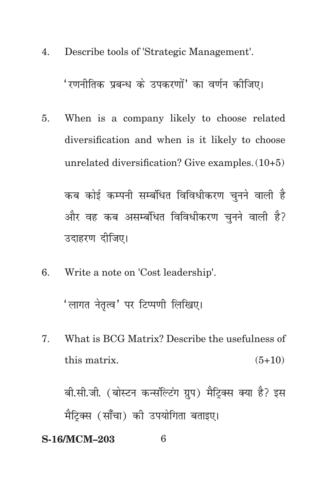4. Describe tools of 'Strategic Management'.

'रणनीतिक प्रबन्ध के उपकरणों' का वर्णन कीजिए।

5. When is a company likely to choose related diversification and when is it likely to choose unrelated diversification? Give examples.(10+5)

कब कोई कम्पनी सम्बंधित विविधीकरण चुनने वाली है और वह कब असम्बंधित विविधीकरण चुनने वाली है? उदाहरण दीजिए।

6. Write a note on 'Cost leadership'.

'लागत नेतत्व' पर टिप्पणी लिखिए।

7. What is BCG Matrix? Describe the usefulness of this matrix.  $(5+10)$ 

बी.सी.जी. (बोस्टन कन्सॅल्टिंग ग्रुप) मैट्रिक्स क्या है? इस मैटिक्स (साँचा) की उपयोगिता बताइए।

## **S-16/MCM–203** 6